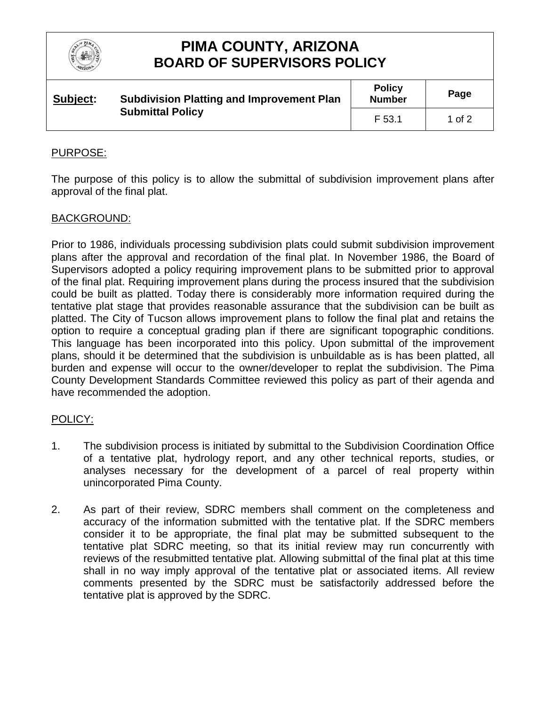

# **PIMA COUNTY, ARIZONA BOARD OF SUPERVISORS POLICY**

| Subject:<br><b>Submittal Policy</b> | <b>Subdivision Platting and Improvement Plan</b> | <b>Policy</b><br><b>Number</b> | Page   |
|-------------------------------------|--------------------------------------------------|--------------------------------|--------|
|                                     |                                                  | F 53.1                         | 1 of 2 |

### PURPOSE:

The purpose of this policy is to allow the submittal of subdivision improvement plans after approval of the final plat.

#### BACKGROUND:

Prior to 1986, individuals processing subdivision plats could submit subdivision improvement plans after the approval and recordation of the final plat. In November 1986, the Board of Supervisors adopted a policy requiring improvement plans to be submitted prior to approval of the final plat. Requiring improvement plans during the process insured that the subdivision could be built as platted. Today there is considerably more information required during the tentative plat stage that provides reasonable assurance that the subdivision can be built as platted. The City of Tucson allows improvement plans to follow the final plat and retains the option to require a conceptual grading plan if there are significant topographic conditions. This language has been incorporated into this policy. Upon submittal of the improvement plans, should it be determined that the subdivision is unbuildable as is has been platted, all burden and expense will occur to the owner/developer to replat the subdivision. The Pima County Development Standards Committee reviewed this policy as part of their agenda and have recommended the adoption.

### POLICY:

- 1. The subdivision process is initiated by submittal to the Subdivision Coordination Office of a tentative plat, hydrology report, and any other technical reports, studies, or analyses necessary for the development of a parcel of real property within unincorporated Pima County.
- 2. As part of their review, SDRC members shall comment on the completeness and accuracy of the information submitted with the tentative plat. If the SDRC members consider it to be appropriate, the final plat may be submitted subsequent to the tentative plat SDRC meeting, so that its initial review may run concurrently with reviews of the resubmitted tentative plat. Allowing submittal of the final plat at this time shall in no way imply approval of the tentative plat or associated items. All review comments presented by the SDRC must be satisfactorily addressed before the tentative plat is approved by the SDRC.